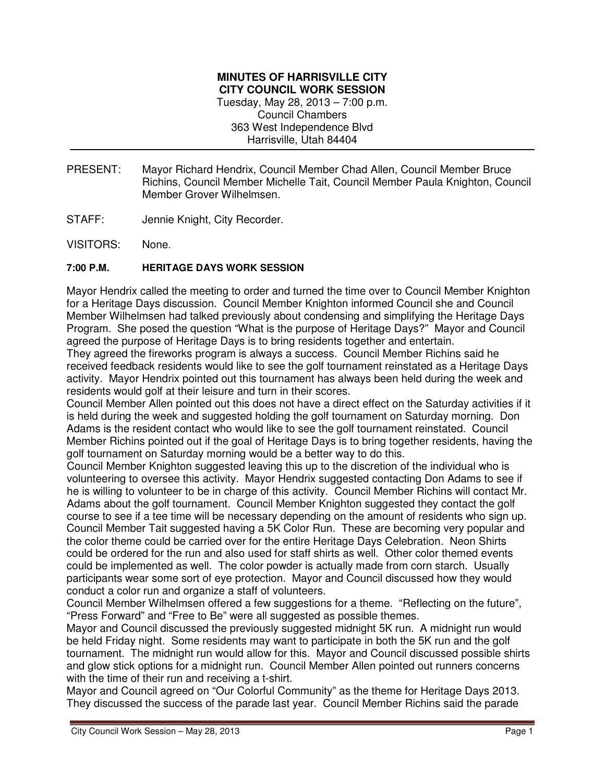## **MINUTES OF HARRISVILLE CITY CITY COUNCIL WORK SESSION**  Tuesday, May 28, 2013 – 7:00 p.m. Council Chambers 363 West Independence Blvd Harrisville, Utah 84404

- PRESENT: Mayor Richard Hendrix, Council Member Chad Allen, Council Member Bruce Richins, Council Member Michelle Tait, Council Member Paula Knighton, Council Member Grover Wilhelmsen.
- STAFF: Jennie Knight, City Recorder.
- VISITORS: None.

## **7:00 P.M. HERITAGE DAYS WORK SESSION**

Mayor Hendrix called the meeting to order and turned the time over to Council Member Knighton for a Heritage Days discussion. Council Member Knighton informed Council she and Council Member Wilhelmsen had talked previously about condensing and simplifying the Heritage Days Program. She posed the question "What is the purpose of Heritage Days?" Mayor and Council agreed the purpose of Heritage Days is to bring residents together and entertain.

They agreed the fireworks program is always a success. Council Member Richins said he received feedback residents would like to see the golf tournament reinstated as a Heritage Days activity. Mayor Hendrix pointed out this tournament has always been held during the week and residents would golf at their leisure and turn in their scores.

Council Member Allen pointed out this does not have a direct effect on the Saturday activities if it is held during the week and suggested holding the golf tournament on Saturday morning. Don Adams is the resident contact who would like to see the golf tournament reinstated. Council Member Richins pointed out if the goal of Heritage Days is to bring together residents, having the golf tournament on Saturday morning would be a better way to do this.

Council Member Knighton suggested leaving this up to the discretion of the individual who is volunteering to oversee this activity. Mayor Hendrix suggested contacting Don Adams to see if he is willing to volunteer to be in charge of this activity. Council Member Richins will contact Mr. Adams about the golf tournament. Council Member Knighton suggested they contact the golf course to see if a tee time will be necessary depending on the amount of residents who sign up. Council Member Tait suggested having a 5K Color Run. These are becoming very popular and the color theme could be carried over for the entire Heritage Days Celebration. Neon Shirts could be ordered for the run and also used for staff shirts as well. Other color themed events could be implemented as well. The color powder is actually made from corn starch. Usually participants wear some sort of eye protection. Mayor and Council discussed how they would conduct a color run and organize a staff of volunteers.

Council Member Wilhelmsen offered a few suggestions for a theme. "Reflecting on the future", "Press Forward" and "Free to Be" were all suggested as possible themes.

Mayor and Council discussed the previously suggested midnight 5K run. A midnight run would be held Friday night. Some residents may want to participate in both the 5K run and the golf tournament. The midnight run would allow for this. Mayor and Council discussed possible shirts and glow stick options for a midnight run. Council Member Allen pointed out runners concerns with the time of their run and receiving a t-shirt.

Mayor and Council agreed on "Our Colorful Community" as the theme for Heritage Days 2013. They discussed the success of the parade last year. Council Member Richins said the parade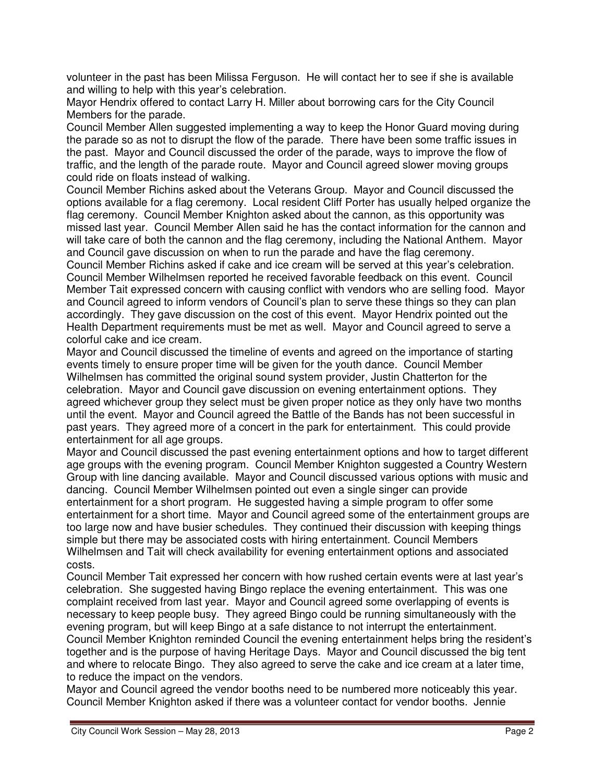volunteer in the past has been Milissa Ferguson. He will contact her to see if she is available and willing to help with this year's celebration.

Mayor Hendrix offered to contact Larry H. Miller about borrowing cars for the City Council Members for the parade.

Council Member Allen suggested implementing a way to keep the Honor Guard moving during the parade so as not to disrupt the flow of the parade. There have been some traffic issues in the past. Mayor and Council discussed the order of the parade, ways to improve the flow of traffic, and the length of the parade route. Mayor and Council agreed slower moving groups could ride on floats instead of walking.

Council Member Richins asked about the Veterans Group. Mayor and Council discussed the options available for a flag ceremony. Local resident Cliff Porter has usually helped organize the flag ceremony. Council Member Knighton asked about the cannon, as this opportunity was missed last year. Council Member Allen said he has the contact information for the cannon and will take care of both the cannon and the flag ceremony, including the National Anthem. Mayor and Council gave discussion on when to run the parade and have the flag ceremony.

Council Member Richins asked if cake and ice cream will be served at this year's celebration. Council Member Wilhelmsen reported he received favorable feedback on this event. Council Member Tait expressed concern with causing conflict with vendors who are selling food. Mayor and Council agreed to inform vendors of Council's plan to serve these things so they can plan accordingly. They gave discussion on the cost of this event. Mayor Hendrix pointed out the Health Department requirements must be met as well. Mayor and Council agreed to serve a colorful cake and ice cream.

Mayor and Council discussed the timeline of events and agreed on the importance of starting events timely to ensure proper time will be given for the youth dance. Council Member Wilhelmsen has committed the original sound system provider, Justin Chatterton for the celebration. Mayor and Council gave discussion on evening entertainment options. They agreed whichever group they select must be given proper notice as they only have two months until the event. Mayor and Council agreed the Battle of the Bands has not been successful in past years. They agreed more of a concert in the park for entertainment. This could provide entertainment for all age groups.

Mayor and Council discussed the past evening entertainment options and how to target different age groups with the evening program. Council Member Knighton suggested a Country Western Group with line dancing available. Mayor and Council discussed various options with music and dancing. Council Member Wilhelmsen pointed out even a single singer can provide entertainment for a short program. He suggested having a simple program to offer some entertainment for a short time. Mayor and Council agreed some of the entertainment groups are too large now and have busier schedules. They continued their discussion with keeping things simple but there may be associated costs with hiring entertainment. Council Members Wilhelmsen and Tait will check availability for evening entertainment options and associated costs.

Council Member Tait expressed her concern with how rushed certain events were at last year's celebration. She suggested having Bingo replace the evening entertainment. This was one complaint received from last year. Mayor and Council agreed some overlapping of events is necessary to keep people busy. They agreed Bingo could be running simultaneously with the evening program, but will keep Bingo at a safe distance to not interrupt the entertainment. Council Member Knighton reminded Council the evening entertainment helps bring the resident's together and is the purpose of having Heritage Days. Mayor and Council discussed the big tent and where to relocate Bingo. They also agreed to serve the cake and ice cream at a later time, to reduce the impact on the vendors.

Mayor and Council agreed the vendor booths need to be numbered more noticeably this year. Council Member Knighton asked if there was a volunteer contact for vendor booths. Jennie